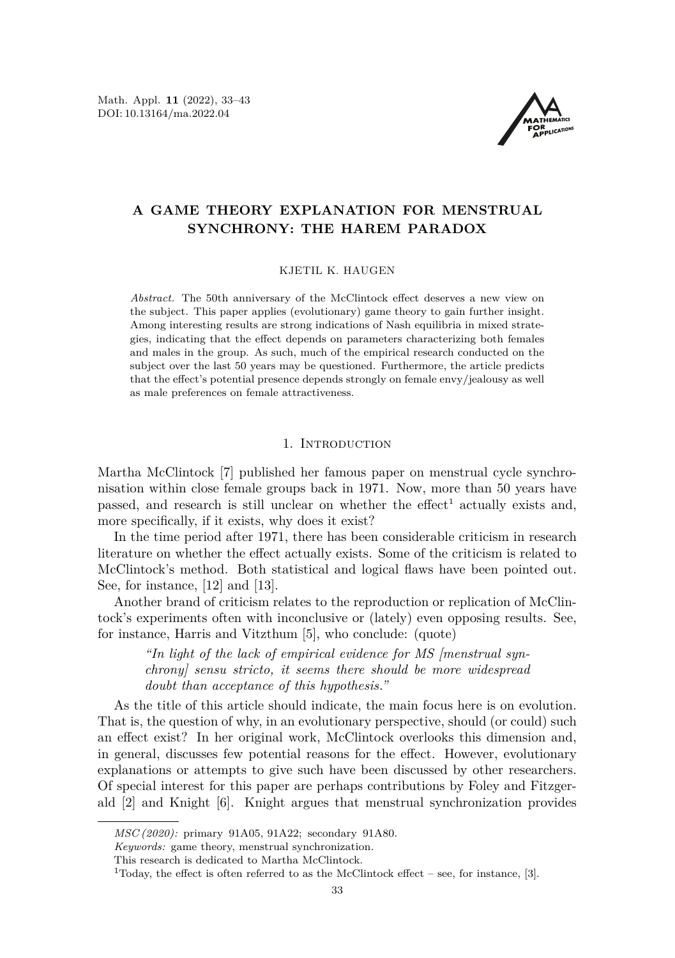Math. Appl. **11** (2022), 33[–43](#page-10-0) DOI: 10.13164/ma.2022.04



# **A GAME THEORY EXPLANATION FOR MENSTRUAL SYNCHRONY: THE HAREM PARADOX**

#### KJETIL K. HAUGEN

*Abstract.* The 50th anniversary of the McClintock effect deserves a new view on the subject. This paper applies (evolutionary) game theory to gain further insight. Among interesting results are strong indications of Nash equilibria in mixed strategies, indicating that the effect depends on parameters characterizing both females and males in the group. As such, much of the empirical research conducted on the subject over the last 50 years may be questioned. Furthermore, the article predicts that the effect's potential presence depends strongly on female envy/jealousy as well as male preferences on female attractiveness.

#### 1. INTRODUCTION

<span id="page-0-1"></span>Martha McClintock [\[7\]](#page-10-1) published her famous paper on menstrual cycle synchronisation within close female groups back in 1971. Now, more than 50 years have passed, and research is still unclear on whether the effect<sup>[1](#page-0-0)</sup> actually exists and, more specifically, if it exists, why does it exist?

In the time period after 1971, there has been considerable criticism in research literature on whether the effect actually exists. Some of the criticism is related to McClintock's method. Both statistical and logical flaws have been pointed out. See, for instance, [\[12\]](#page-10-2) and [\[13\]](#page-10-3).

Another brand of criticism relates to the reproduction or replication of McClintock's experiments often with inconclusive or (lately) even opposing results. See, for instance, Harris and Vitzthum [\[5\]](#page-10-4), who conclude: (quote)

*"In light of the lack of empirical evidence for MS [menstrual synchrony] sensu stricto, it seems there should be more widespread doubt than acceptance of this hypothesis."*

As the title of this article should indicate, the main focus here is on evolution. That is, the question of why, in an evolutionary perspective, should (or could) such an effect exist? In her original work, McClintock overlooks this dimension and, in general, discusses few potential reasons for the effect. However, evolutionary explanations or attempts to give such have been discussed by other researchers. Of special interest for this paper are perhaps contributions by Foley and Fitzgerald [\[2\]](#page-10-5) and Knight [\[6\]](#page-10-6). Knight argues that menstrual synchronization provides

*MSC (2020):* primary 91A05, 91A22; secondary 91A80.

*Keywords:* game theory, menstrual synchronization.

This research is dedicated to Martha McClintock.

<span id="page-0-0"></span> $1$ Today, the effect is often referred to as the McClintock effect – see, for instance, [\[3\]](#page-10-7).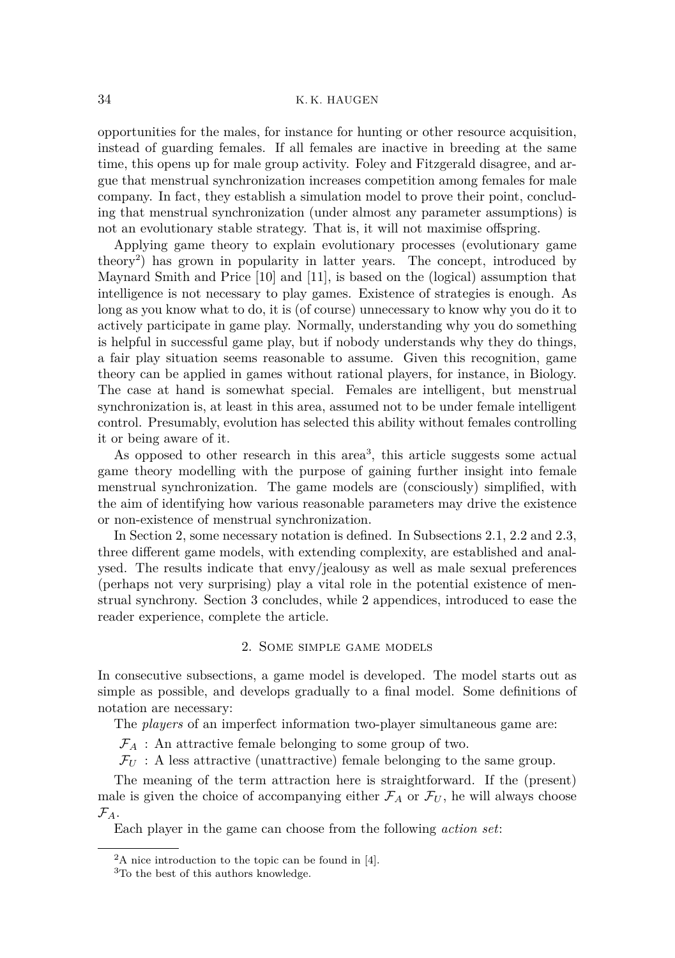## 34 K. K. HAUGEN

opportunities for the males, for instance for hunting or other resource acquisition, instead of guarding females. If all females are inactive in breeding at the same time, this opens up for male group activity. Foley and Fitzgerald disagree, and argue that menstrual synchronization increases competition among females for male company. In fact, they establish a simulation model to prove their point, concluding that menstrual synchronization (under almost any parameter assumptions) is not an evolutionary stable strategy. That is, it will not maximise offspring.

Applying game theory to explain evolutionary processes (evolutionary game theory[2](#page-1-0) ) has grown in popularity in latter years. The concept, introduced by Maynard Smith and Price [\[10\]](#page-10-8) and [\[11\]](#page-10-9), is based on the (logical) assumption that intelligence is not necessary to play games. Existence of strategies is enough. As long as you know what to do, it is (of course) unnecessary to know why you do it to actively participate in game play. Normally, understanding why you do something is helpful in successful game play, but if nobody understands why they do things, a fair play situation seems reasonable to assume. Given this recognition, game theory can be applied in games without rational players, for instance, in Biology. The case at hand is somewhat special. Females are intelligent, but menstrual synchronization is, at least in this area, assumed not to be under female intelligent control. Presumably, evolution has selected this ability without females controlling it or being aware of it.

As opposed to other research in this area<sup>[3](#page-1-1)</sup>, this article suggests some actual game theory modelling with the purpose of gaining further insight into female menstrual synchronization. The game models are (consciously) simplified, with the aim of identifying how various reasonable parameters may drive the existence or non-existence of menstrual synchronization.

In Section [2,](#page-1-2) some necessary notation is defined. In Subsections [2.1,](#page-2-0) [2.2](#page-3-0) and [2.3,](#page-5-0) three different game models, with extending complexity, are established and analysed. The results indicate that envy/jealousy as well as male sexual preferences (perhaps not very surprising) play a vital role in the potential existence of menstrual synchrony. Section [3](#page-7-0) concludes, while 2 appendices, introduced to ease the reader experience, complete the article.

## 2. Some simple game models

<span id="page-1-2"></span>In consecutive subsections, a game model is developed. The model starts out as simple as possible, and develops gradually to a final model. Some definitions of notation are necessary:

The *players* of an imperfect information two-player simultaneous game are:

 $\mathcal{F}_A$ : An attractive female belonging to some group of two.

 $\mathcal{F}_U$ : A less attractive (unattractive) female belonging to the same group.

The meaning of the term attraction here is straightforward. If the (present) male is given the choice of accompanying either  $\mathcal{F}_A$  or  $\mathcal{F}_U$ , he will always choose  $\mathcal{F}_A$ .

Each player in the game can choose from the following *action set*:

<span id="page-1-0"></span> ${}^{2}$ A nice introduction to the topic can be found in [\[4\]](#page-10-10).

<span id="page-1-1"></span><sup>3</sup>To the best of this authors knowledge.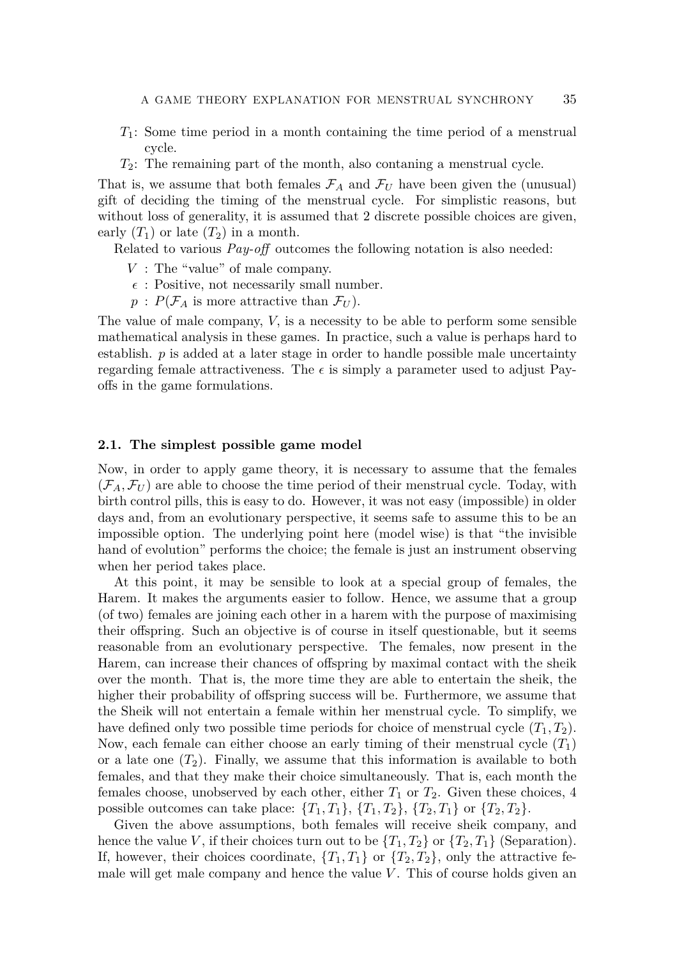- *T*1: Some time period in a month containing the time period of a menstrual cycle.
- *T*2: The remaining part of the month, also contaning a menstrual cycle.

That is, we assume that both females  $\mathcal{F}_A$  and  $\mathcal{F}_U$  have been given the (unusual) gift of deciding the timing of the menstrual cycle. For simplistic reasons, but without loss of generality, it is assumed that 2 discrete possible choices are given, early  $(T_1)$  or late  $(T_2)$  in a month.

Related to various *Pay-off* outcomes the following notation is also needed:

- *V* : The "value" of male company.
- $\epsilon$ : Positive, not necessarily small number.
- $p$ :  $P(\mathcal{F}_A$  is more attractive than  $\mathcal{F}_U$ ).

The value of male company, *V,* is a necessity to be able to perform some sensible mathematical analysis in these games. In practice, such a value is perhaps hard to establish.  $p$  is added at a later stage in order to handle possible male uncertainty regarding female attractiveness. The  $\epsilon$  is simply a parameter used to adjust Payoffs in the game formulations.

## <span id="page-2-0"></span>**2.1. The simplest possible game model**

Now, in order to apply game theory, it is necessary to assume that the females  $(\mathcal{F}_A, \mathcal{F}_U)$  are able to choose the time period of their menstrual cycle. Today, with birth control pills, this is easy to do. However, it was not easy (impossible) in older days and, from an evolutionary perspective, it seems safe to assume this to be an impossible option. The underlying point here (model wise) is that "the invisible hand of evolution" performs the choice; the female is just an instrument observing when her period takes place.

At this point, it may be sensible to look at a special group of females, the Harem. It makes the arguments easier to follow. Hence, we assume that a group (of two) females are joining each other in a harem with the purpose of maximising their offspring. Such an objective is of course in itself questionable, but it seems reasonable from an evolutionary perspective. The females, now present in the Harem, can increase their chances of offspring by maximal contact with the sheik over the month. That is, the more time they are able to entertain the sheik, the higher their probability of offspring success will be. Furthermore, we assume that the Sheik will not entertain a female within her menstrual cycle. To simplify, we have defined only two possible time periods for choice of menstrual cycle  $(T_1, T_2)$ . Now, each female can either choose an early timing of their menstrual cycle (*T*1) or a late one  $(T_2)$ . Finally, we assume that this information is available to both females, and that they make their choice simultaneously. That is, each month the females choose, unobserved by each other, either  $T_1$  or  $T_2$ . Given these choices, 4 possible outcomes can take place:  $\{T_1, T_1\}$ ,  $\{T_1, T_2\}$ ,  $\{T_2, T_1\}$  or  $\{T_2, T_2\}$ .

Given the above assumptions, both females will receive sheik company, and hence the value *V*, if their choices turn out to be  $\{T_1, T_2\}$  or  $\{T_2, T_1\}$  (Separation). If, however, their choices coordinate,  ${T_1, T_1}$  or  ${T_2, T_2}$ , only the attractive female will get male company and hence the value *V*. This of course holds given an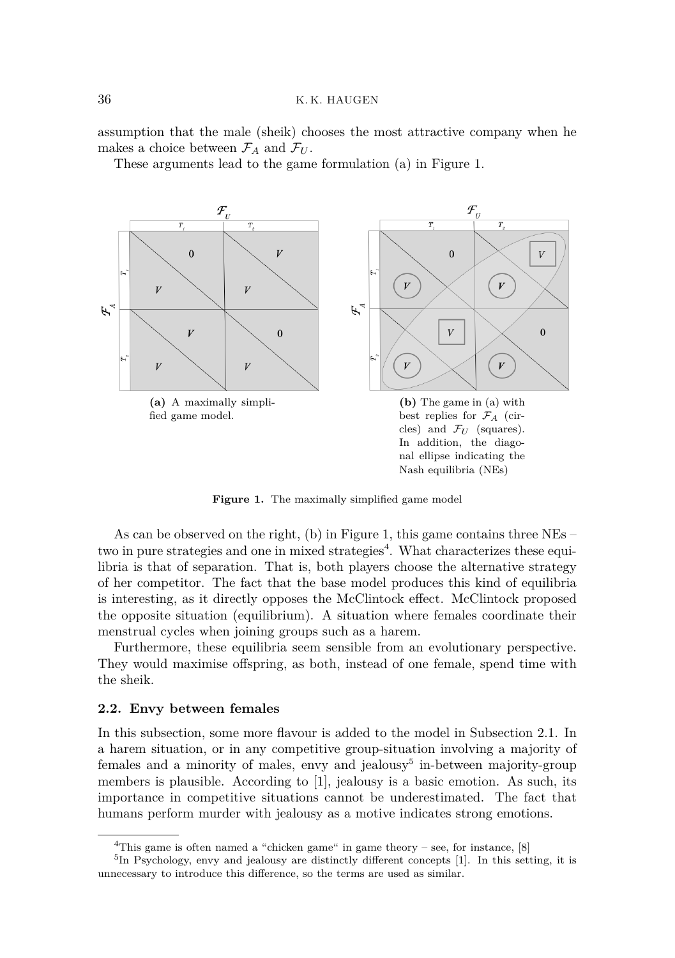assumption that the male (sheik) chooses the most attractive company when he makes a choice between  $\mathcal{F}_A$  and  $\mathcal{F}_U$ .

These arguments lead to the game formulation (a) in Figure [1.](#page-3-1)

<span id="page-3-1"></span>

**Figure 1.** The maximally simplified game model

As can be observed on the right, (b) in Figure [1,](#page-3-1) this game contains three NEs – two in pure strategies and one in mixed strategies<sup>[4](#page-3-2)</sup>. What characterizes these equilibria is that of separation. That is, both players choose the alternative strategy of her competitor. The fact that the base model produces this kind of equilibria is interesting, as it directly opposes the McClintock effect. McClintock proposed the opposite situation (equilibrium). A situation where females coordinate their menstrual cycles when joining groups such as a harem.

Furthermore, these equilibria seem sensible from an evolutionary perspective. They would maximise offspring, as both, instead of one female, spend time with the sheik.

## <span id="page-3-0"></span>**2.2. Envy between females**

In this subsection, some more flavour is added to the model in Subsection [2.1.](#page-2-0) In a harem situation, or in any competitive group-situation involving a majority of females and a minority of males, envy and jealousy<sup>[5](#page-3-3)</sup> in-between majority-group members is plausible. According to [\[1\]](#page-10-11), jealousy is a basic emotion. As such, its importance in competitive situations cannot be underestimated. The fact that humans perform murder with jealousy as a motive indicates strong emotions.

<span id="page-3-3"></span><span id="page-3-2"></span><sup>&</sup>lt;sup>4</sup>This game is often named a "chicken game" in game theory – see, for instance,  $[8]$ 

<sup>&</sup>lt;sup>5</sup>In Psychology, envy and jealousy are distinctly different concepts [\[1\]](#page-10-11). In this setting, it is unnecessary to introduce this difference, so the terms are used as similar.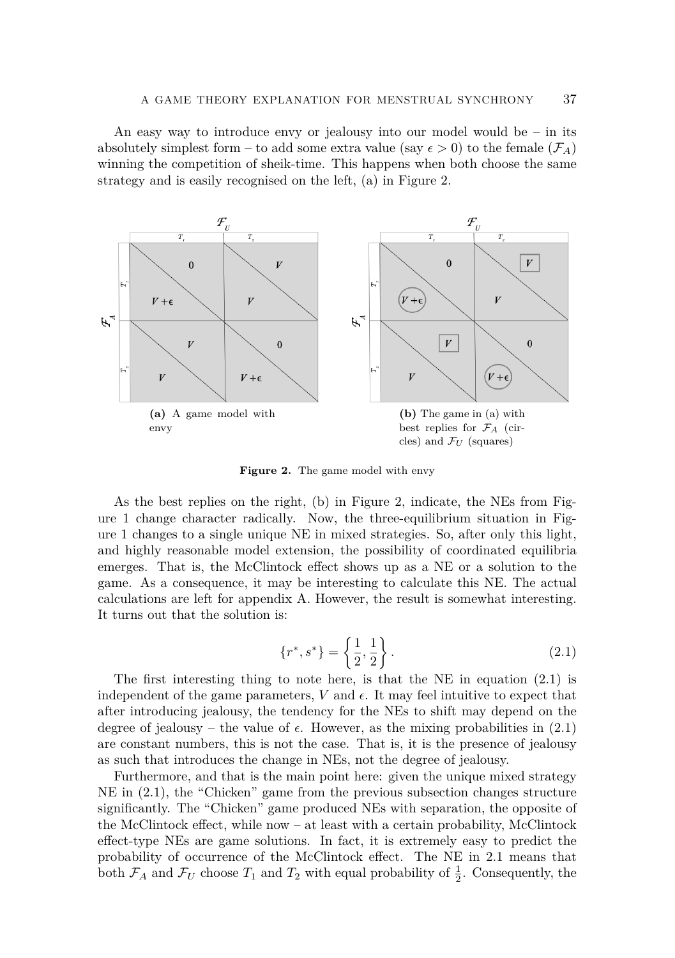An easy way to introduce envy or jealousy into our model would be  $-$  in its absolutely simplest form – to add some extra value (say  $\epsilon > 0$ ) to the female ( $\mathcal{F}_A$ ) winning the competition of sheik-time. This happens when both choose the same strategy and is easily recognised on the left, (a) in Figure [2.](#page-4-0)

<span id="page-4-0"></span>

Figure 2. The game model with envy

As the best replies on the right, (b) in Figure [2,](#page-4-0) indicate, the NEs from Figure [1](#page-3-1) change character radically. Now, the three-equilibrium situation in Figure [1](#page-3-1) changes to a single unique NE in mixed strategies. So, after only this light, and highly reasonable model extension, the possibility of coordinated equilibria emerges. That is, the McClintock effect shows up as a NE or a solution to the game. As a consequence, it may be interesting to calculate this NE. The actual calculations are left for appendix [A.](#page-8-0) However, the result is somewhat interesting. It turns out that the solution is:

<span id="page-4-1"></span>
$$
\{r^*, s^*\} = \left\{\frac{1}{2}, \frac{1}{2}\right\}.\tag{2.1}
$$

The first interesting thing to note here, is that the NE in equation  $(2.1)$  is independent of the game parameters,  $V$  and  $\epsilon$ . It may feel intuitive to expect that after introducing jealousy, the tendency for the NEs to shift may depend on the degree of jealousy – the value of  $\epsilon$ . However, as the mixing probabilities in  $(2.1)$ are constant numbers, this is not the case. That is, it is the presence of jealousy as such that introduces the change in NEs, not the degree of jealousy.

Furthermore, and that is the main point here: given the unique mixed strategy NE in [\(2.1\)](#page-4-1), the "Chicken" game from the previous subsection changes structure significantly. The "Chicken" game produced NEs with separation, the opposite of the McClintock effect, while now – at least with a certain probability, McClintock effect-type NEs are game solutions. In fact, it is extremely easy to predict the probability of occurrence of the McClintock effect. The NE in [2.1](#page-4-1) means that both  $\mathcal{F}_A$  and  $\mathcal{F}_U$  choose  $T_1$  and  $T_2$  with equal probability of  $\frac{1}{2}$ . Consequently, the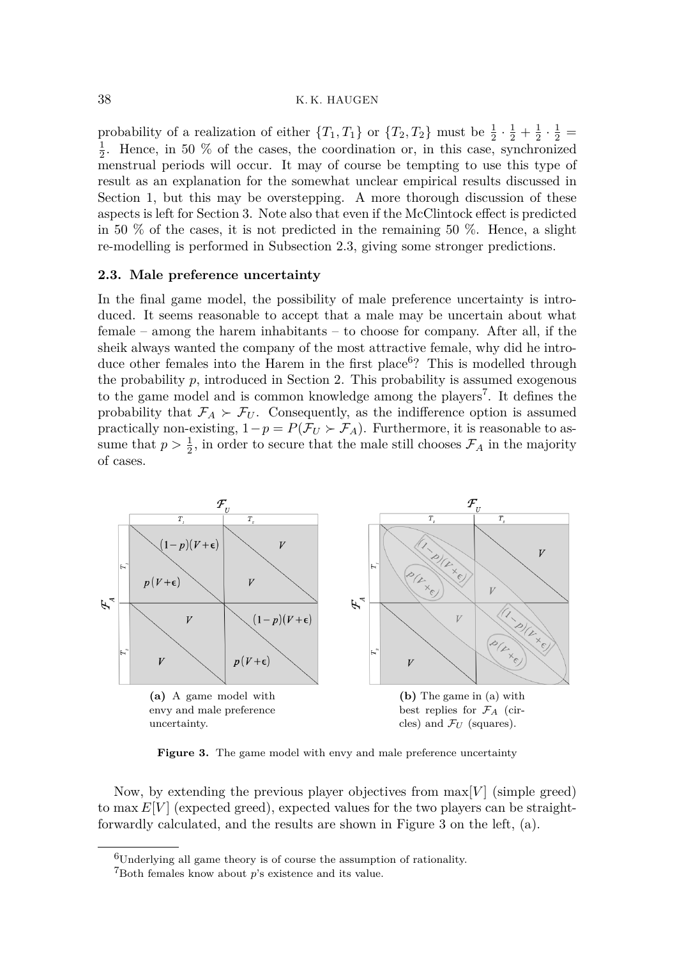## 38 K. K. HAUGEN

probability of a realization of either  $\{T_1, T_1\}$  or  $\{T_2, T_2\}$  must be  $\frac{1}{2} \cdot \frac{1}{2} + \frac{1}{2} \cdot \frac{1}{2} =$  $\frac{1}{2}$ . Hence, in 50 % of the cases, the coordination or, in this case, synchronized menstrual periods will occur. It may of course be tempting to use this type of result as an explanation for the somewhat unclear empirical results discussed in Section [1,](#page-0-1) but this may be overstepping. A more thorough discussion of these aspects is left for Section [3.](#page-7-0) Note also that even if the McClintock effect is predicted in 50  $\%$  of the cases, it is not predicted in the remaining 50  $\%$ . Hence, a slight re-modelling is performed in Subsection [2.3,](#page-5-0) giving some stronger predictions.

#### <span id="page-5-0"></span>**2.3. Male preference uncertainty**

In the final game model, the possibility of male preference uncertainty is introduced. It seems reasonable to accept that a male may be uncertain about what female – among the harem inhabitants – to choose for company. After all, if the sheik always wanted the company of the most attractive female, why did he intro-duce other females into the Harem in the first place<sup>[6](#page-5-1)</sup>? This is modelled through the probability  $p$ , introduced in Section [2.](#page-1-2) This probability is assumed exogenous to the game model and is common knowledge among the players<sup>[7](#page-5-2)</sup>. It defines the probability that  $\mathcal{F}_A \succ \mathcal{F}_U$ . Consequently, as the indifference option is assumed practically non-existing,  $1-p = P(\mathcal{F}_U \succ \mathcal{F}_A)$ . Furthermore, it is reasonable to assume that  $p > \frac{1}{2}$ , in order to secure that the male still chooses  $\mathcal{F}_A$  in the majority of cases.

<span id="page-5-3"></span>

Figure 3. The game model with envy and male preference uncertainty

Now, by extending the previous player objectives from  $\max[V]$  (simple greed) to max  $E[V]$  (expected greed), expected values for the two players can be straightforwardly calculated, and the results are shown in Figure [3](#page-5-3) on the left, (a).

<span id="page-5-1"></span><sup>6</sup>Underlying all game theory is of course the assumption of rationality.

<span id="page-5-2"></span><sup>7</sup>Both females know about *p*'s existence and its value.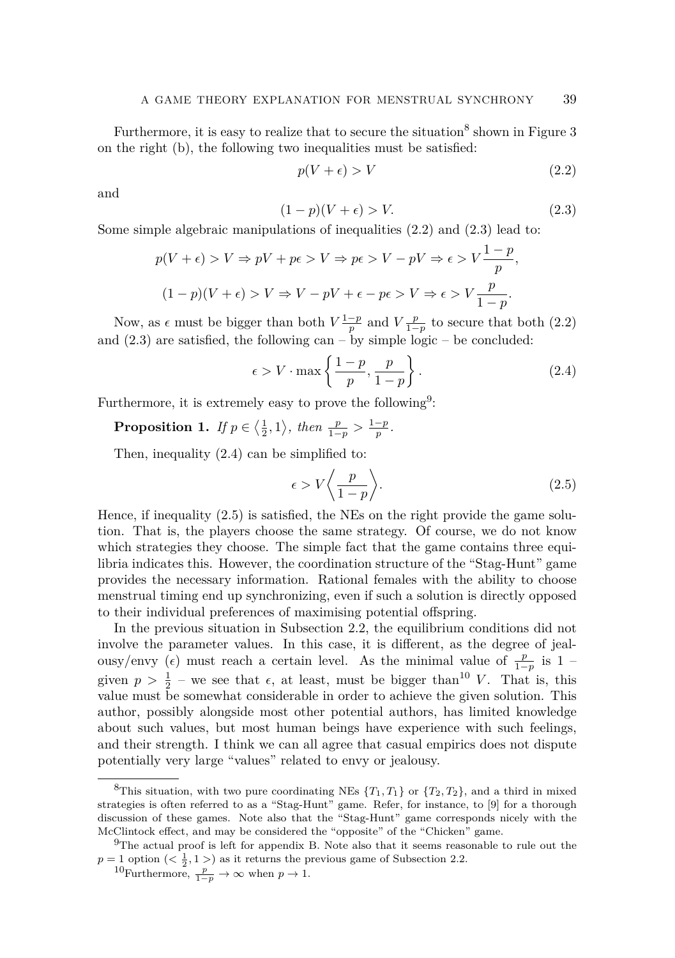Furthermore, it is easy to realize that to secure the situation<sup>[8](#page-6-0)</sup> shown in Figure [3](#page-5-3) on the right (b), the following two inequalities must be satisfied:

<span id="page-6-1"></span>
$$
p(V + \epsilon) > V \tag{2.2}
$$

and

<span id="page-6-2"></span>
$$
(1 - p)(V + \epsilon) > V. \tag{2.3}
$$

Some simple algebraic manipulations of inequalities [\(2.2\)](#page-6-1) and [\(2.3\)](#page-6-2) lead to:

$$
p(V+\epsilon) > V \Rightarrow pV + p\epsilon > V \Rightarrow p\epsilon > V - pV \Rightarrow \epsilon > V \frac{1-p}{p},
$$
  
(1-p)(V+\epsilon) > V \Rightarrow V - pV + \epsilon - p\epsilon > V \Rightarrow \epsilon > V \frac{p}{1-p}.

Now, as  $\epsilon$  must be bigger than both  $V\frac{1-p}{p}$  and  $V\frac{p}{1-p}$  to secure that both [\(2.2\)](#page-6-1) and  $(2.3)$  are satisfied, the following can – by simple logic – be concluded:

<span id="page-6-4"></span>
$$
\epsilon > V \cdot \max\left\{\frac{1-p}{p}, \frac{p}{1-p}\right\}.
$$
\n(2.4)

Furthermore, it is extremely easy to prove the following<sup>[9](#page-6-3)</sup>:

**Proposition 1.** *If*  $p \in \left\langle \frac{1}{2}, 1 \right\rangle$ , *then*  $\frac{p}{1-p} > \frac{1-p}{p}$ .

Then, inequality [\(2.4\)](#page-6-4) can be simplified to:

<span id="page-6-5"></span>
$$
\epsilon > V \bigg\langle \frac{p}{1-p} \bigg\rangle. \tag{2.5}
$$

Hence, if inequality [\(2.5\)](#page-6-5) is satisfied, the NEs on the right provide the game solution. That is, the players choose the same strategy. Of course, we do not know which strategies they choose. The simple fact that the game contains three equilibria indicates this. However, the coordination structure of the "Stag-Hunt" game provides the necessary information. Rational females with the ability to choose menstrual timing end up synchronizing, even if such a solution is directly opposed to their individual preferences of maximising potential offspring.

In the previous situation in Subsection [2.2,](#page-3-0) the equilibrium conditions did not involve the parameter values. In this case, it is different, as the degree of jealousy/envy ( $\epsilon$ ) must reach a certain level. As the minimal value of  $\frac{p}{1-p}$  is 1 – given  $p > \frac{1}{2}$  – we see that  $\epsilon$ , at least, must be bigger than<sup>[10](#page-6-6)</sup> *V*. That is, this value must be somewhat considerable in order to achieve the given solution. This author, possibly alongside most other potential authors, has limited knowledge about such values, but most human beings have experience with such feelings, and their strength. I think we can all agree that casual empirics does not dispute potentially very large "values" related to envy or jealousy.

<span id="page-6-0"></span><sup>&</sup>lt;sup>8</sup>This situation, with two pure coordinating NEs  $\{T_1, T_1\}$  or  $\{T_2, T_2\}$ , and a third in mixed strategies is often referred to as a "Stag-Hunt" game. Refer, for instance, to [\[9\]](#page-10-13) for a thorough discussion of these games. Note also that the "Stag-Hunt" game corresponds nicely with the McClintock effect, and may be considered the "opposite" of the "Chicken" game.

<span id="page-6-3"></span><sup>&</sup>lt;sup>9</sup>The actual proof is left for appendix [B.](#page-9-0) Note also that it seems reasonable to rule out the  $p = 1$  option ( $\langle \frac{1}{2}, 1 \rangle$ ) as it returns the previous game of Subsection [2.2.](#page-3-0)

<span id="page-6-6"></span><sup>&</sup>lt;sup>10</sup>Furthermore,  $\frac{p}{1-p}$  → ∞ when  $p \to 1$ .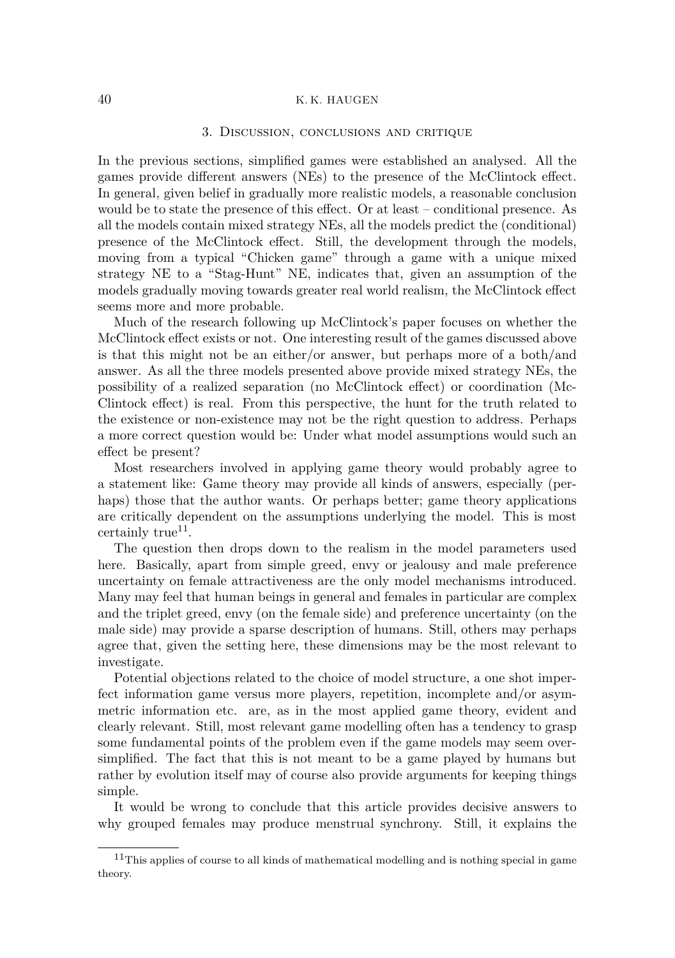## <span id="page-7-0"></span>40 K. K. HAUGEN

#### 3. Discussion, conclusions and critique

In the previous sections, simplified games were established an analysed. All the games provide different answers (NEs) to the presence of the McClintock effect. In general, given belief in gradually more realistic models, a reasonable conclusion would be to state the presence of this effect. Or at least – conditional presence. As all the models contain mixed strategy NEs, all the models predict the (conditional) presence of the McClintock effect. Still, the development through the models, moving from a typical "Chicken game" through a game with a unique mixed strategy NE to a "Stag-Hunt" NE, indicates that, given an assumption of the models gradually moving towards greater real world realism, the McClintock effect seems more and more probable.

Much of the research following up McClintock's paper focuses on whether the McClintock effect exists or not. One interesting result of the games discussed above is that this might not be an either/or answer, but perhaps more of a both/and answer. As all the three models presented above provide mixed strategy NEs, the possibility of a realized separation (no McClintock effect) or coordination (Mc-Clintock effect) is real. From this perspective, the hunt for the truth related to the existence or non-existence may not be the right question to address. Perhaps a more correct question would be: Under what model assumptions would such an effect be present?

Most researchers involved in applying game theory would probably agree to a statement like: Game theory may provide all kinds of answers, especially (perhaps) those that the author wants. Or perhaps better; game theory applications are critically dependent on the assumptions underlying the model. This is most certainly true<sup>[11](#page-7-1)</sup>.

The question then drops down to the realism in the model parameters used here. Basically, apart from simple greed, envy or jealousy and male preference uncertainty on female attractiveness are the only model mechanisms introduced. Many may feel that human beings in general and females in particular are complex and the triplet greed, envy (on the female side) and preference uncertainty (on the male side) may provide a sparse description of humans. Still, others may perhaps agree that, given the setting here, these dimensions may be the most relevant to investigate.

Potential objections related to the choice of model structure, a one shot imperfect information game versus more players, repetition, incomplete and/or asymmetric information etc. are, as in the most applied game theory, evident and clearly relevant. Still, most relevant game modelling often has a tendency to grasp some fundamental points of the problem even if the game models may seem oversimplified. The fact that this is not meant to be a game played by humans but rather by evolution itself may of course also provide arguments for keeping things simple.

It would be wrong to conclude that this article provides decisive answers to why grouped females may produce menstrual synchrony. Still, it explains the

<span id="page-7-1"></span> $11$ This applies of course to all kinds of mathematical modelling and is nothing special in game theory.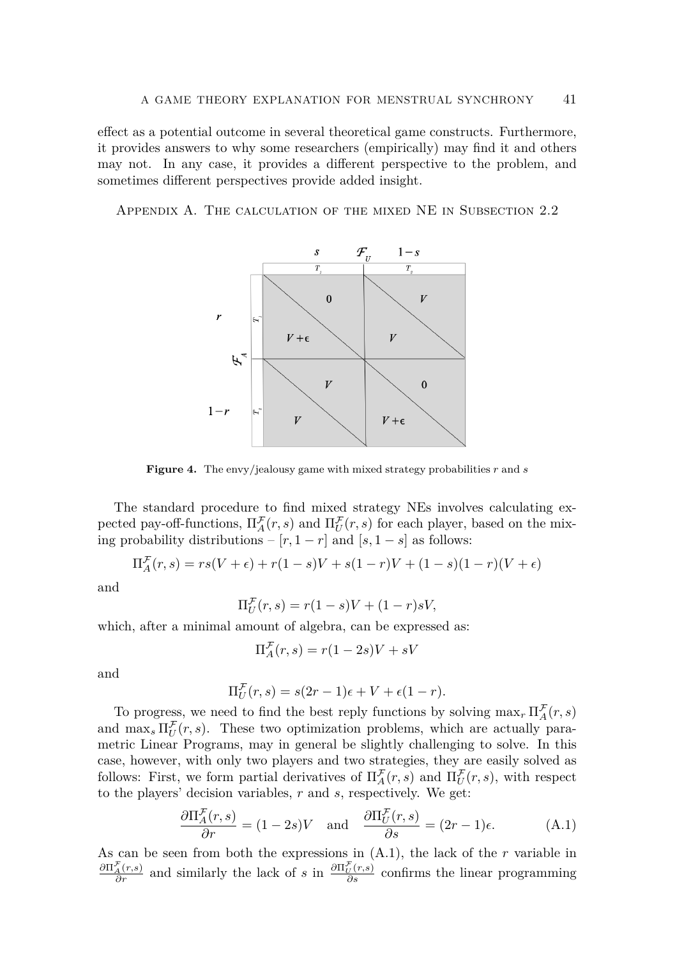effect as a potential outcome in several theoretical game constructs. Furthermore, it provides answers to why some researchers (empirically) may find it and others may not. In any case, it provides a different perspective to the problem, and sometimes different perspectives provide added insight.

<span id="page-8-0"></span>Appendix A. The calculation of the mixed NE in Subsection [2.2](#page-3-0)



**Figure 4.** The envy/jealousy game with mixed strategy probabilities *r* and *s*

The standard procedure to find mixed strategy NEs involves calculating expected pay-off-functions,  $\Pi_A^{\mathcal{F}}(r,s)$  and  $\Pi_U^{\mathcal{F}}(r,s)$  for each player, based on the mixing probability distributions –  $[r, 1 - r]$  and  $[s, 1 - s]$  as follows:

$$
\Pi_A^{\mathcal{F}}(r,s) = rs(V+\epsilon) + r(1-s)V + s(1-r)V + (1-s)(1-r)(V+\epsilon)
$$

and

$$
\Pi_U^{\mathcal{F}}(r,s) = r(1-s)V + (1-r)sV,
$$

which, after a minimal amount of algebra, can be expressed as:

$$
\Pi_A^{\mathcal{F}}(r,s) = r(1-2s)V + sV
$$

and

$$
\Pi_U^{\mathcal{F}}(r,s) = s(2r-1)\epsilon + V + \epsilon(1-r).
$$

To progress, we need to find the best reply functions by solving  $\max_{r} \prod_{A}^{\mathcal{F}}(r, s)$ and  $\max_s \prod_U^{\mathcal{F}}(r,s)$ . These two optimization problems, which are actually parametric Linear Programs, may in general be slightly challenging to solve. In this case, however, with only two players and two strategies, they are easily solved as follows: First, we form partial derivatives of  $\Pi_A^{\mathcal{F}}(r,s)$  and  $\Pi_U^{\mathcal{F}}(r,s)$ , with respect to the players' decision variables, *r* and *s*, respectively. We get:

<span id="page-8-1"></span>
$$
\frac{\partial \Pi_A^{\mathcal{F}}(r,s)}{\partial r} = (1 - 2s)V \quad \text{and} \quad \frac{\partial \Pi_U^{\mathcal{F}}(r,s)}{\partial s} = (2r - 1)\epsilon. \tag{A.1}
$$

As can be seen from both the expressions in [\(A.1\)](#page-8-1), the lack of the *r* variable in  $\frac{\partial \Pi^{\mathcal{F}}_A(r,s)}{\partial r}$  and similarly the lack of *s* in  $\frac{\partial \Pi^{\mathcal{F}}_U(r,s)}{\partial s}$  confirms the linear programming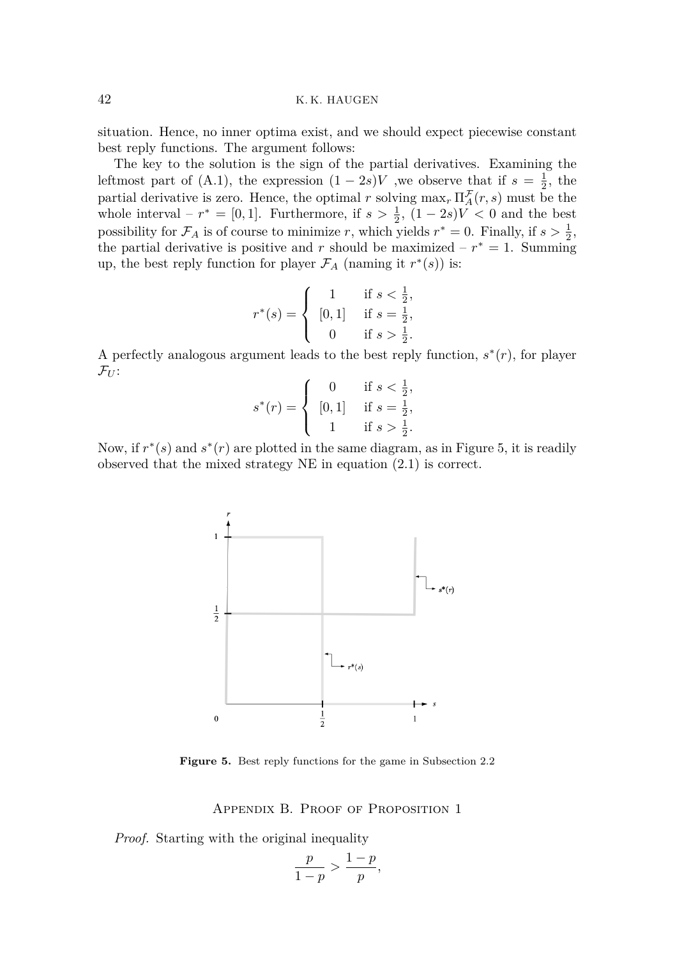situation. Hence, no inner optima exist, and we should expect piecewise constant best reply functions. The argument follows:

The key to the solution is the sign of the partial derivatives. Examining the leftmost part of [\(A.1\)](#page-8-1), the expression  $(1 - 2s)V$ , we observe that if  $s = \frac{1}{2}$ , the partial derivative is zero. Hence, the optimal *r* solving  $\max_r \prod_A^{\mathcal{F}}(r, s)$  must be the whole interval –  $r^* = [0, 1]$ . Furthermore, if  $s > \frac{1}{2}$ ,  $(1 - 2s)V < 0$  and the best possibility for  $\mathcal{F}_A$  is of course to minimize *r*, which yields  $r^* = 0$ . Finally, if  $s > \frac{1}{2}$ , the partial derivative is positive and *r* should be maximized –  $r^* = 1$ . Summing up, the best reply function for player  $\mathcal{F}_A$  (naming it  $r^*(s)$ ) is:

$$
r^*(s) = \begin{cases} 1 & \text{if } s < \frac{1}{2}, \\ [0,1] & \text{if } s = \frac{1}{2}, \\ 0 & \text{if } s > \frac{1}{2}. \end{cases}
$$

A perfectly analogous argument leads to the best reply function,  $s^*(r)$ , for player  $\mathcal{F}_U$ :

$$
s^*(r) = \begin{cases} 0 & \text{if } s < \frac{1}{2}, \\ [0,1] & \text{if } s = \frac{1}{2}, \\ 1 & \text{if } s > \frac{1}{2}. \end{cases}
$$

<span id="page-9-1"></span>Now, if  $r^*(s)$  and  $s^*(r)$  are plotted in the same diagram, as in Figure [5,](#page-9-1) it is readily observed that the mixed strategy NE in equation [\(2.1\)](#page-4-1) is correct.



**Figure 5.** Best reply functions for the game in Subsection [2.2](#page-3-0)

Appendix B. Proof of Proposition 1

<span id="page-9-0"></span>*Proof.* Starting with the original inequality

$$
\frac{p}{1-p} > \frac{1-p}{p},
$$